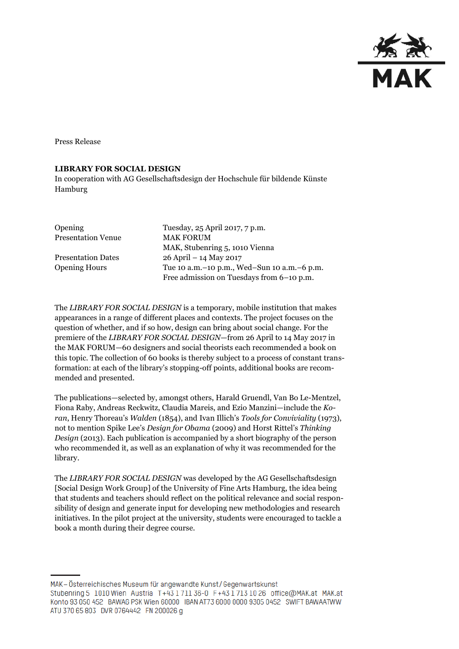

Press Release

#### **LIBRARY FOR SOCIAL DESIGN**

In cooperation with AG Gesellschaftsdesign der Hochschule für bildende Künste Hamburg

| Opening                   | Tuesday, 25 April 2017, 7 p.m.                |
|---------------------------|-----------------------------------------------|
| <b>Presentation Venue</b> | <b>MAK FORUM</b>                              |
|                           | MAK, Stubenring 5, 1010 Vienna                |
| <b>Presentation Dates</b> | 26 April - 14 May 2017                        |
| <b>Opening Hours</b>      | Tue 10 a.m. -10 p.m., Wed-Sun 10 a.m. -6 p.m. |
|                           | Free admission on Tuesdays from 6-10 p.m.     |

The *LIBRARY FOR SOCIAL DESIGN* is a temporary, mobile institution that makes appearances in a range of different places and contexts. The project focuses on the question of whether, and if so how, design can bring about social change. For the premiere of the *LIBRARY FOR SOCIAL DESIGN*—from 26 April to 14 May 2017 in the MAK FORUM—60 designers and social theorists each recommended a book on this topic. The collection of 60 books is thereby subject to a process of constant transformation: at each of the library's stopping-off points, additional books are recommended and presented.

The publications—selected by, amongst others, Harald Gruendl, Van Bo Le-Mentzel, Fiona Raby, Andreas Reckwitz, Claudia Mareis, and Ezio Manzini—include the *Koran*, Henry Thoreau's *Walden* (1854), and Ivan Illich's *Tools for Conviviality* (1973), not to mention Spike Lee's *Design for Obama* (2009) and Horst Rittel's *Thinking Design* (2013). Each publication is accompanied by a short biography of the person who recommended it, as well as an explanation of why it was recommended for the library.

The *LIBRARY FOR SOCIAL DESIGN* was developed by the AG Gesellschaftsdesign [Social Design Work Group] of the University of Fine Arts Hamburg, the idea being that students and teachers should reflect on the political relevance and social responsibility of design and generate input for developing new methodologies and research initiatives. In the pilot project at the university, students were encouraged to tackle a book a month during their degree course.

MAK - Österreichisches Museum für angewandte Kunst/Gegenwartskunst Stubenring 5 1010 Wien Austria T+43 1 711 36-0 F+43 1 713 10 26 office@MAK.at MAK.at Konto 93 050 452 BAWAG PSK Wien 60000 IBAN AT73 6000 0000 9305 0452 SWIFT BAWAATWW ATU 370 65 803 DVR 0764442 FN 200026 g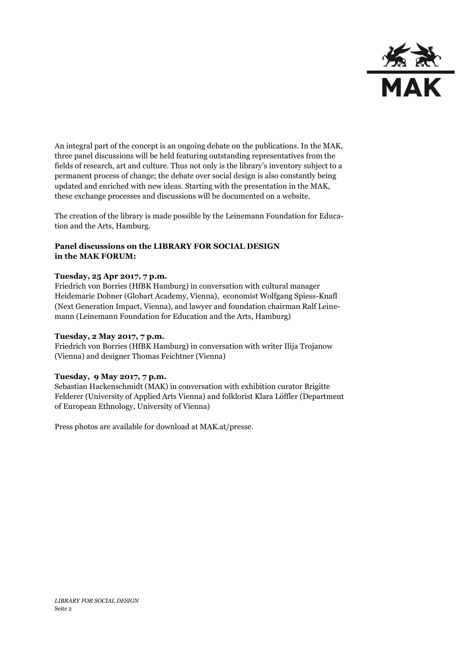

An integral part of the concept is an ongoing debate on the publications. In the MAK, three panel discussions will be held featuring outstanding representatives from the fields of research, art and culture. Thus not only is the library's inventory subject to a permanent process of change; the debate over social design is also constantly being updated and enriched with new ideas. Starting with the presentation in the MAK, these exchange processes and discussions will be documented on a website.

The creation of the library is made possible by the Leinemann Foundation for Education and the Arts, Hamburg.

## **Panel discussions on the LIBRARY FOR SOCIAL DESIGN in the MAK FORUM:**

### **Tuesday, 25 Apr 2017, 7 p.m.**

Friedrich von Borries (HfBK Hamburg) in conversation with cultural manager Heidemarie Dobner (Globart Academy, Vienna), economist Wolfgang Spiess-Knafl (Next Generation Impact, Vienna), and lawyer and foundation chairman Ralf Leinemann (Leinemann Foundation for Education and the Arts, Hamburg)

#### **Tuesday, 2 May 2017, 7 p.m.**

Friedrich von Borries (HfBK Hamburg) in conversation with writer Ilija Trojanow (Vienna) and designer Thomas Feichtner (Vienna)

## **Tuesday, 9 May 2017, 7 p.m.**

Sebastian Hackenschmidt (MAK) in conversation with exhibition curator Brigitte Felderer (University of Applied Arts Vienna) and folklorist Klara Löffler (Department of European Ethnology, University of Vienna)

Press photos are available for download at MAK.at/presse.